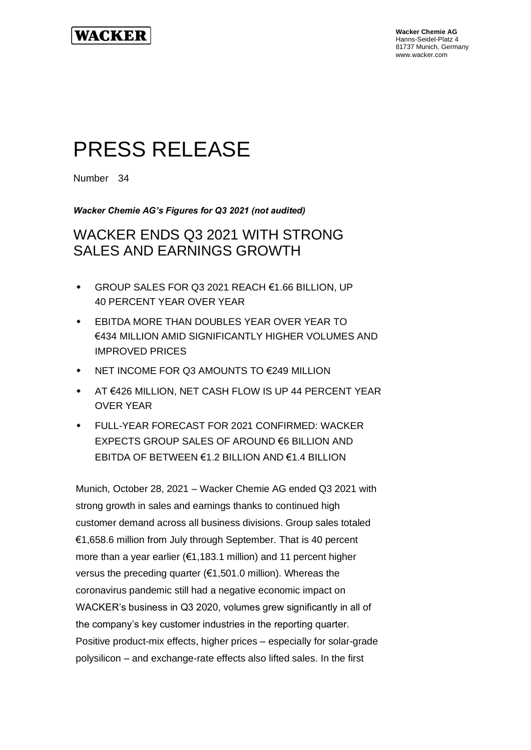

**Wacker Chemie AG** Hanns-Seidel-Platz 4 81737 Munich, Germany www.wacker.com

# PRESS RELEASE

Number 34

*Wacker Chemie AG's Figures for Q3 2021 (not audited)*

## WACKER ENDS Q3 2021 WITH STRONG SALES AND EARNINGS GROWTH

- GROUP SALES FOR Q3 2021 REACH €1.66 BILLION, UP 40 PERCENT YEAR OVER YEAR
- EBITDA MORE THAN DOUBLES YEAR OVER YEAR TO €434 MILLION AMID SIGNIFICANTLY HIGHER VOLUMES AND IMPROVED PRICES
- NET INCOME FOR Q3 AMOUNTS TO €249 MILLION
- AT €426 MILLION, NET CASH FLOW IS UP 44 PERCENT YEAR OVER YEAR
- FULL-YEAR FORECAST FOR 2021 CONFIRMED: WACKER EXPECTS GROUP SALES OF AROUND €6 BILLION AND EBITDA OF BETWEEN €1.2 BILLION AND €1.4 BILLION

Munich, October 28, 2021 – Wacker Chemie AG ended Q3 2021 with strong growth in sales and earnings thanks to continued high customer demand across all business divisions. Group sales totaled €1,658.6 million from July through September. That is 40 percent more than a year earlier (€1,183.1 million) and 11 percent higher versus the preceding quarter (€1,501.0 million). Whereas the coronavirus pandemic still had a negative economic impact on WACKER's business in Q3 2020, volumes grew significantly in all of the company's key customer industries in the reporting quarter. Positive product-mix effects, higher prices – especially for solar-grade polysilicon – and exchange-rate effects also lifted sales. In the first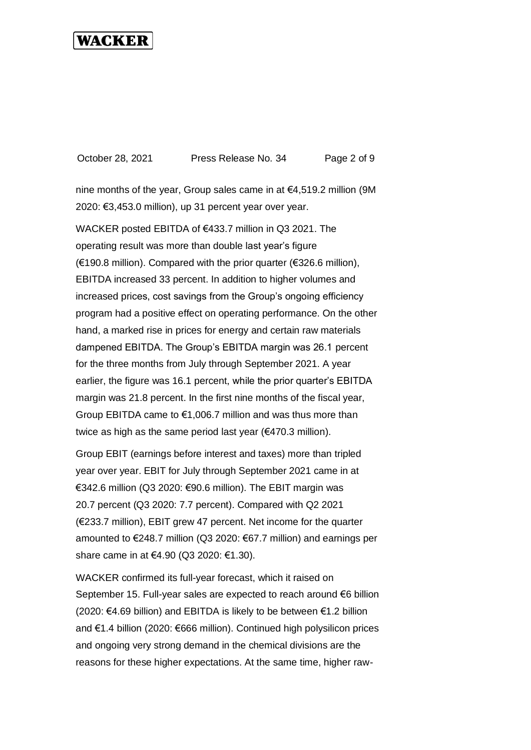October 28, 2021 Press Release No. 34 Page 2 of 9

nine months of the year, Group sales came in at €4,519.2 million (9M 2020: €3,453.0 million), up 31 percent year over year.

WACKER posted EBITDA of €433.7 million in Q3 2021. The operating result was more than double last year's figure (€190.8 million). Compared with the prior quarter (€326.6 million), EBITDA increased 33 percent. In addition to higher volumes and increased prices, cost savings from the Group's ongoing efficiency program had a positive effect on operating performance. On the other hand, a marked rise in prices for energy and certain raw materials dampened EBITDA. The Group's EBITDA margin was 26.1 percent for the three months from July through September 2021. A year earlier, the figure was 16.1 percent, while the prior quarter's EBITDA margin was 21.8 percent. In the first nine months of the fiscal year, Group EBITDA came to €1,006.7 million and was thus more than twice as high as the same period last year (€470.3 million).

Group EBIT (earnings before interest and taxes) more than tripled year over year. EBIT for July through September 2021 came in at €342.6 million (Q3 2020: €90.6 million). The EBIT margin was 20.7 percent (Q3 2020: 7.7 percent). Compared with Q2 2021 (€233.7 million), EBIT grew 47 percent. Net income for the quarter amounted to €248.7 million (Q3 2020: €67.7 million) and earnings per share came in at €4.90 (Q3 2020: €1.30).

WACKER confirmed its full-year forecast, which it raised on September 15. Full-year sales are expected to reach around €6 billion (2020: €4.69 billion) and EBITDA is likely to be between €1.2 billion and €1.4 billion (2020: €666 million). Continued high polysilicon prices and ongoing very strong demand in the chemical divisions are the reasons for these higher expectations. At the same time, higher raw-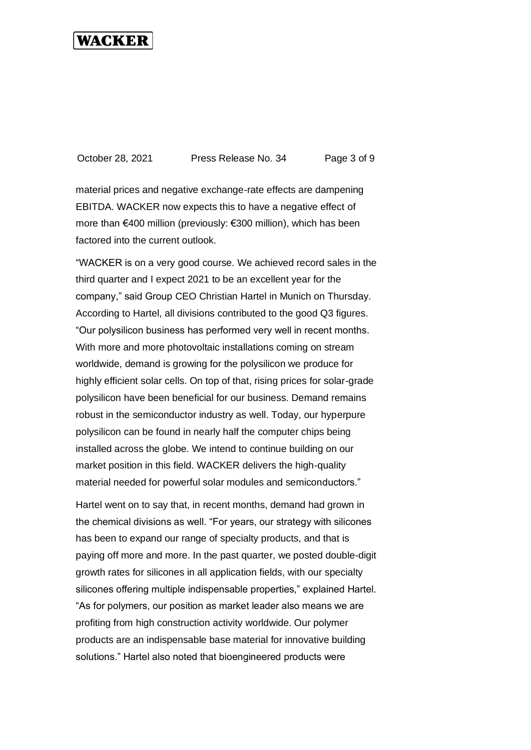October 28, 2021 Press Release No. 34 Page 3 of 9

material prices and negative exchange-rate effects are dampening EBITDA. WACKER now expects this to have a negative effect of more than €400 million (previously: €300 million), which has been factored into the current outlook.

"WACKER is on a very good course. We achieved record sales in the third quarter and I expect 2021 to be an excellent year for the company," said Group CEO Christian Hartel in Munich on Thursday. According to Hartel, all divisions contributed to the good Q3 figures. "Our polysilicon business has performed very well in recent months. With more and more photovoltaic installations coming on stream worldwide, demand is growing for the polysilicon we produce for highly efficient solar cells. On top of that, rising prices for solar-grade polysilicon have been beneficial for our business. Demand remains robust in the semiconductor industry as well. Today, our hyperpure polysilicon can be found in nearly half the computer chips being installed across the globe. We intend to continue building on our market position in this field. WACKER delivers the high-quality material needed for powerful solar modules and semiconductors."

Hartel went on to say that, in recent months, demand had grown in the chemical divisions as well. "For years, our strategy with silicones has been to expand our range of specialty products, and that is paying off more and more. In the past quarter, we posted double-digit growth rates for silicones in all application fields, with our specialty silicones offering multiple indispensable properties," explained Hartel. "As for polymers, our position as market leader also means we are profiting from high construction activity worldwide. Our polymer products are an indispensable base material for innovative building solutions." Hartel also noted that bioengineered products were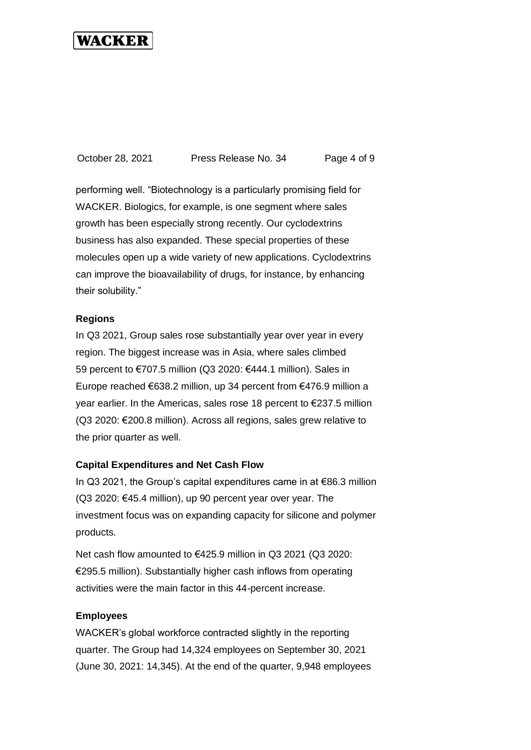October 28, 2021 Press Release No. 34 Page 4 of 9

performing well. "Biotechnology is a particularly promising field for WACKER. Biologics, for example, is one segment where sales growth has been especially strong recently. Our cyclodextrins business has also expanded. These special properties of these molecules open up a wide variety of new applications. Cyclodextrins can improve the bioavailability of drugs, for instance, by enhancing their solubility."

### **Regions**

In Q3 2021, Group sales rose substantially year over year in every region. The biggest increase was in Asia, where sales climbed 59 percent to €707.5 million (Q3 2020: €444.1 million). Sales in Europe reached €638.2 million, up 34 percent from €476.9 million a year earlier. In the Americas, sales rose 18 percent to €237.5 million (Q3 2020: €200.8 million). Across all regions, sales grew relative to the prior quarter as well.

#### **Capital Expenditures and Net Cash Flow**

In Q3 2021, the Group's capital expenditures came in at €86.3 million (Q3 2020: €45.4 million), up 90 percent year over year. The investment focus was on expanding capacity for silicone and polymer products.

Net cash flow amounted to €425.9 million in Q3 2021 (Q3 2020: €295.5 million). Substantially higher cash inflows from operating activities were the main factor in this 44-percent increase.

#### **Employees**

WACKER's global workforce contracted slightly in the reporting quarter. The Group had 14,324 employees on September 30, 2021 (June 30, 2021: 14,345). At the end of the quarter, 9,948 employees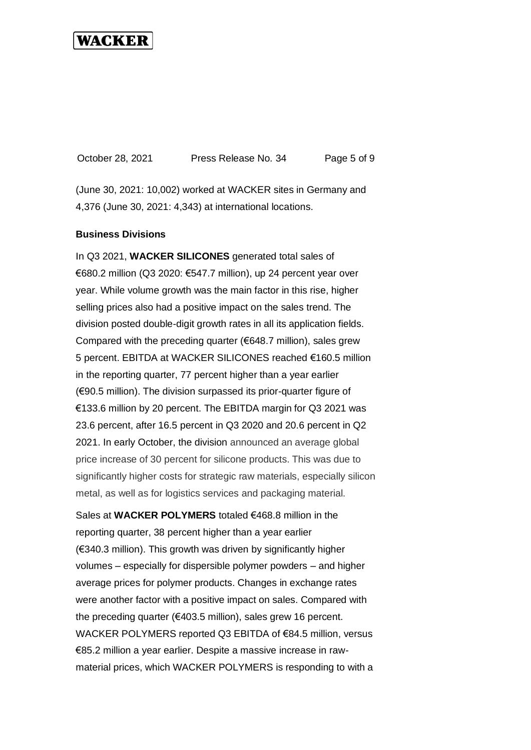October 28, 2021 Press Release No. 34 Page 5 of 9

(June 30, 2021: 10,002) worked at WACKER sites in Germany and 4,376 (June 30, 2021: 4,343) at international locations.

#### **Business Divisions**

In Q3 2021, **WACKER SILICONES** generated total sales of €680.2 million (Q3 2020: €547.7 million), up 24 percent year over year. While volume growth was the main factor in this rise, higher selling prices also had a positive impact on the sales trend. The division posted double-digit growth rates in all its application fields. Compared with the preceding quarter (€648.7 million), sales grew 5 percent. EBITDA at WACKER SILICONES reached €160.5 million in the reporting quarter, 77 percent higher than a year earlier (€90.5 million). The division surpassed its prior-quarter figure of €133.6 million by 20 percent. The EBITDA margin for Q3 2021 was 23.6 percent, after 16.5 percent in Q3 2020 and 20.6 percent in Q2 2021. In early October, the division announced an average global price increase of 30 percent for silicone products. This was due to significantly higher costs for strategic raw materials, especially silicon metal, as well as for logistics services and packaging material.

Sales at **WACKER POLYMERS** totaled €468.8 million in the reporting quarter, 38 percent higher than a year earlier (€340.3 million). This growth was driven by significantly higher volumes – especially for dispersible polymer powders – and higher average prices for polymer products. Changes in exchange rates were another factor with a positive impact on sales. Compared with the preceding quarter (€403.5 million), sales grew 16 percent. WACKER POLYMERS reported Q3 EBITDA of €84.5 million, versus €85.2 million a year earlier. Despite a massive increase in rawmaterial prices, which WACKER POLYMERS is responding to with a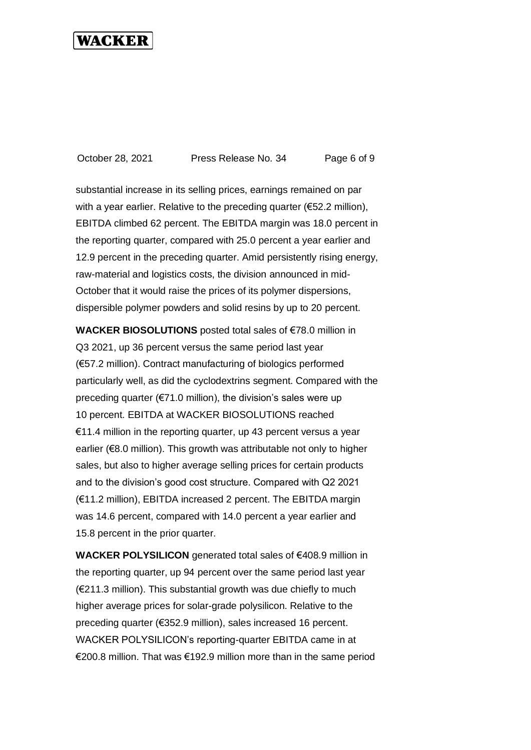October 28, 2021 Press Release No. 34 Page 6 of 9

substantial increase in its selling prices, earnings remained on par with a year earlier. Relative to the preceding quarter ( $€52.2$  million), EBITDA climbed 62 percent. The EBITDA margin was 18.0 percent in the reporting quarter, compared with 25.0 percent a year earlier and 12.9 percent in the preceding quarter. Amid persistently rising energy, raw-material and logistics costs, the division announced in mid-October that it would raise the prices of its polymer dispersions, dispersible polymer powders and solid resins by up to 20 percent.

**WACKER BIOSOLUTIONS** posted total sales of €78.0 million in Q3 2021, up 36 percent versus the same period last year (€57.2 million). Contract manufacturing of biologics performed particularly well, as did the cyclodextrins segment. Compared with the preceding quarter (€71.0 million), the division's sales were up 10 percent. EBITDA at WACKER BIOSOLUTIONS reached  $€11.4$  million in the reporting quarter, up 43 percent versus a year earlier (€8.0 million). This growth was attributable not only to higher sales, but also to higher average selling prices for certain products and to the division's good cost structure. Compared with Q2 2021 (€11.2 million), EBITDA increased 2 percent. The EBITDA margin was 14.6 percent, compared with 14.0 percent a year earlier and 15.8 percent in the prior quarter.

**WACKER POLYSILICON** generated total sales of €408.9 million in the reporting quarter, up 94 percent over the same period last year (€211.3 million). This substantial growth was due chiefly to much higher average prices for solar-grade polysilicon. Relative to the preceding quarter (€352.9 million), sales increased 16 percent. WACKER POLYSILICON's reporting-quarter EBITDA came in at €200.8 million. That was €192.9 million more than in the same period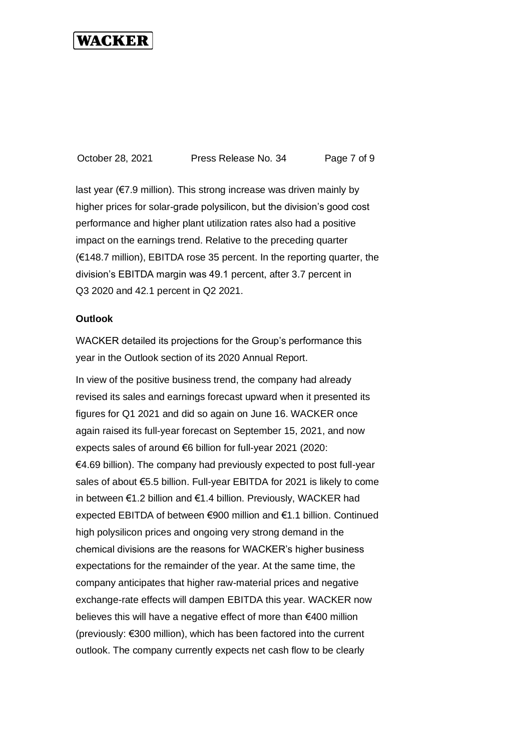October 28, 2021 Press Release No. 34 Page 7 of 9

last year (€7.9 million). This strong increase was driven mainly by higher prices for solar-grade polysilicon, but the division's good cost performance and higher plant utilization rates also had a positive impact on the earnings trend. Relative to the preceding quarter (€148.7 million), EBITDA rose 35 percent. In the reporting quarter, the division's EBITDA margin was 49.1 percent, after 3.7 percent in Q3 2020 and 42.1 percent in Q2 2021.

#### **Outlook**

WACKER detailed its projections for the Group's performance this year in the Outlook section of its 2020 Annual Report.

In view of the positive business trend, the company had already revised its sales and earnings forecast upward when it presented its figures for Q1 2021 and did so again on June 16. WACKER once again raised its full-year forecast on September 15, 2021, and now expects sales of around €6 billion for full-year 2021 (2020:  $€4.69$  billion). The company had previously expected to post full-year sales of about €5.5 billion. Full-year EBITDA for 2021 is likely to come in between €1.2 billion and €1.4 billion. Previously, WACKER had expected EBITDA of between €900 million and €1.1 billion. Continued high polysilicon prices and ongoing very strong demand in the chemical divisions are the reasons for WACKER's higher business expectations for the remainder of the year. At the same time, the company anticipates that higher raw-material prices and negative exchange-rate effects will dampen EBITDA this year. WACKER now believes this will have a negative effect of more than €400 million (previously: €300 million), which has been factored into the current outlook. The company currently expects net cash flow to be clearly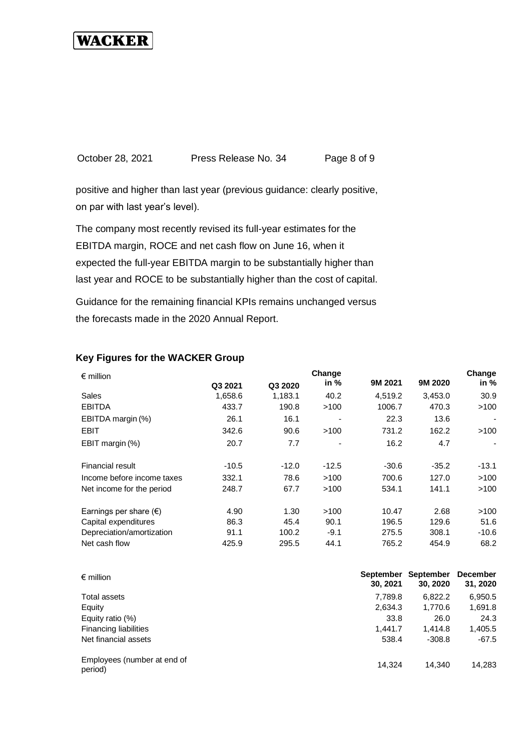October 28, 2021 Press Release No. 34 Page 8 of 9

positive and higher than last year (previous guidance: clearly positive, on par with last year's level).

The company most recently revised its full-year estimates for the EBITDA margin, ROCE and net cash flow on June 16, when it expected the full-year EBITDA margin to be substantially higher than last year and ROCE to be substantially higher than the cost of capital.

Guidance for the remaining financial KPIs remains unchanged versus the forecasts made in the 2020 Annual Report.

| $\epsilon$ million              | Change  |         |         |         | Change             |         |  |
|---------------------------------|---------|---------|---------|---------|--------------------|---------|--|
|                                 | Q3 2021 | Q3 2020 | in $%$  |         | 9M 2020<br>9M 2021 | in %    |  |
| Sales                           | 1,658.6 | 1,183.1 | 40.2    | 4,519.2 | 3,453.0            | 30.9    |  |
| <b>EBITDA</b>                   | 433.7   | 190.8   | >100    | 1006.7  | 470.3              | >100    |  |
| EBITDA margin (%)               | 26.1    | 16.1    |         | 22.3    | 13.6               |         |  |
| EBIT                            | 342.6   | 90.6    | >100    | 731.2   | 162.2              | >100    |  |
| EBIT margin (%)                 | 20.7    | 7.7     | ٠       | 16.2    | 4.7                |         |  |
| Financial result                | $-10.5$ | $-12.0$ | $-12.5$ | $-30.6$ | $-35.2$            | $-13.1$ |  |
| Income before income taxes      | 332.1   | 78.6    | >100    | 700.6   | 127.0              | >100    |  |
| Net income for the period       | 248.7   | 67.7    | >100    | 534.1   | 141.1              | >100    |  |
| Earnings per share $(\epsilon)$ | 4.90    | 1.30    | >100    | 10.47   | 2.68               | >100    |  |
| Capital expenditures            | 86.3    | 45.4    | 90.1    | 196.5   | 129.6              | 51.6    |  |
| Depreciation/amortization       | 91.1    | 100.2   | $-9.1$  | 275.5   | 308.1              | $-10.6$ |  |
| Net cash flow                   | 425.9   | 295.5   | 44.1    | 765.2   | 454.9              | 68.2    |  |

### **Key Figures for the WACKER Group**

| $\epsilon$ million                     | September<br>30, 2021 | September<br>30, 2020 | <b>December</b><br>31, 2020 |
|----------------------------------------|-----------------------|-----------------------|-----------------------------|
| Total assets                           | 7,789.8               | 6,822.2               | 6,950.5                     |
| Equity                                 | 2,634.3               | 1,770.6               | 1,691.8                     |
| Equity ratio (%)                       | 33.8                  | 26.0                  | 24.3                        |
| <b>Financing liabilities</b>           | 1.441.7               | 1.414.8               | 1,405.5                     |
| Net financial assets                   | 538.4                 | $-308.8$              | $-67.5$                     |
| Employees (number at end of<br>period) | 14.324                | 14.340                | 14,283                      |